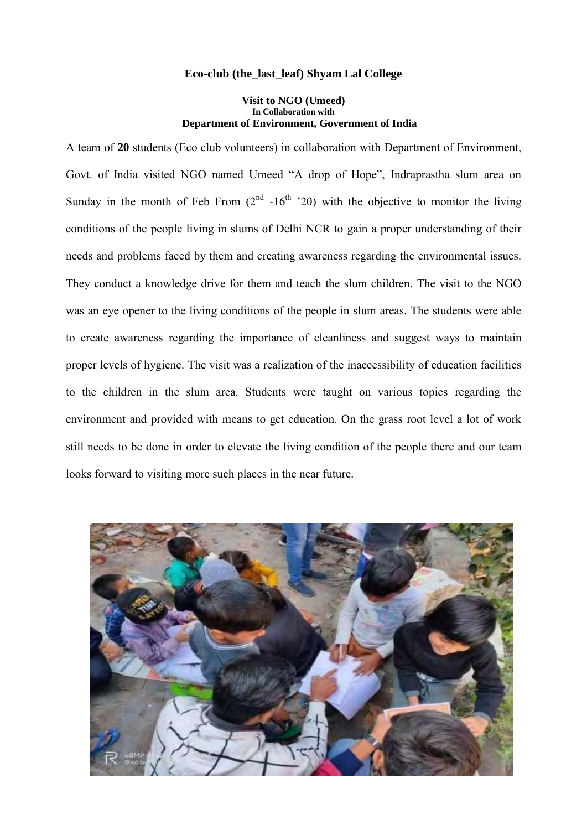## **Eco-club (the\_last\_leaf) Shyam Lal College**

## **Visit to NGO (Umeed) In Collaboration with Department of Environment, Government of India**

A team of **20** students (Eco club volunteers) in collaboration with Department of Environment, Govt. of India visited NGO named Umeed "A drop of Hope", Indraprastha slum area on Sunday in the month of Feb From  $(2^{nd} -16^{th} - 20)$  with the objective to monitor the living conditions of the people living in slums of Delhi NCR to gain a proper understanding of their needs and problems faced by them and creating awareness regarding the environmental issues. They conduct a knowledge drive for them and teach the slum children. The visit to the NGO was an eye opener to the living conditions of the people in slum areas. The students were able to create awareness regarding the importance of cleanliness and suggest ways to maintain proper levels of hygiene. The visit was a realization of the inaccessibility of education facilities to the children in the slum area. Students were taught on various topics regarding the environment and provided with means to get education. On the grass root level a lot of work still needs to be done in order to elevate the living condition of the people there and our team looks forward to visiting more such places in the near future.

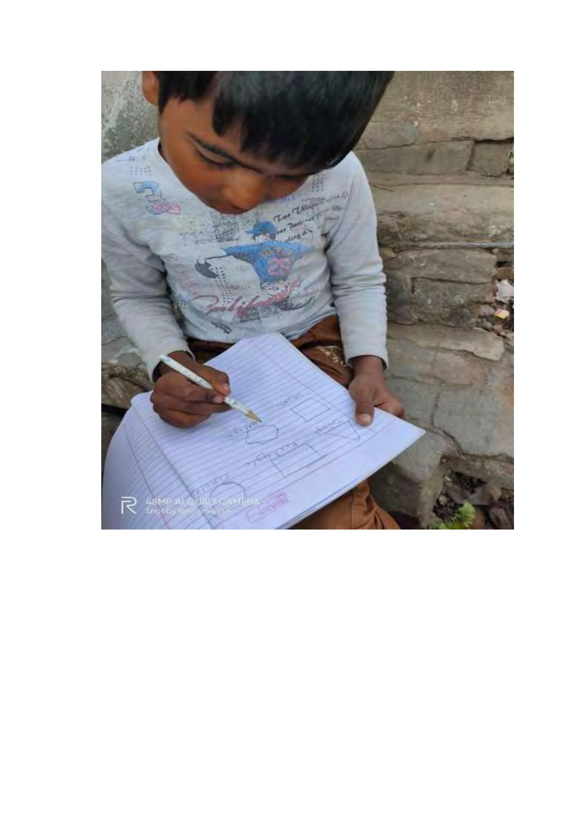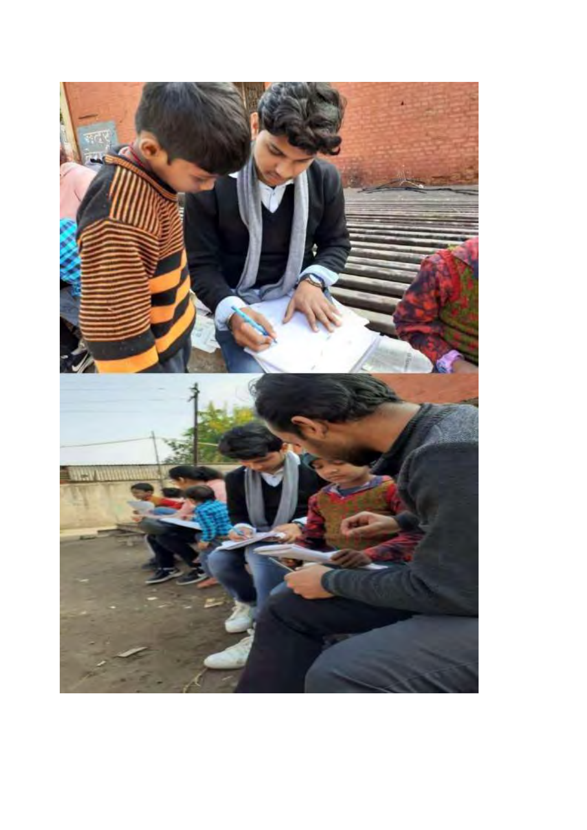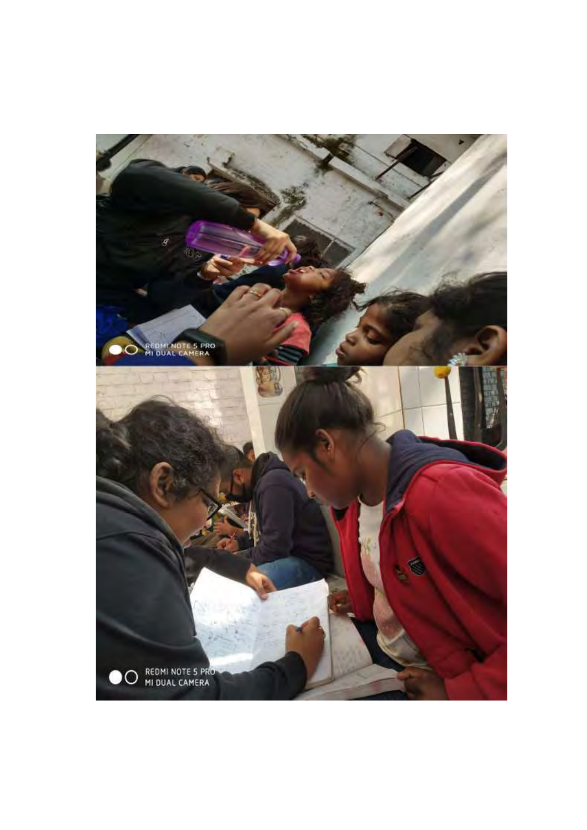